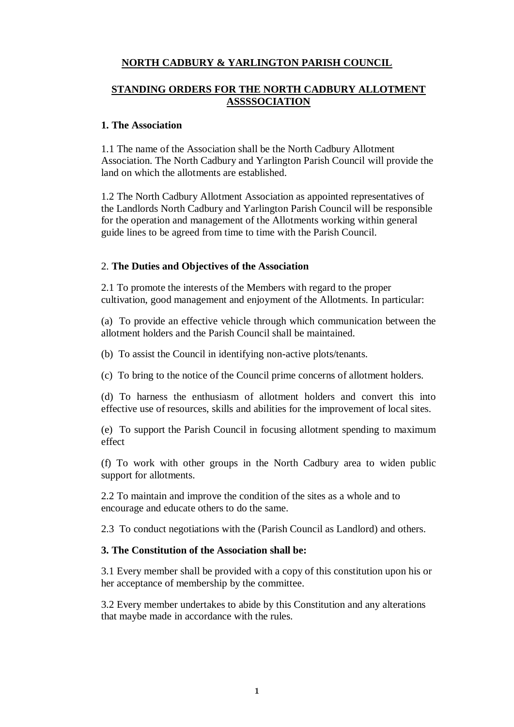# **NORTH CADBURY & YARLINGTON PARISH COUNCIL**

## **STANDING ORDERS FOR THE NORTH CADBURY ALLOTMENT ASSSSOCIATION**

### **1. The Association**

1.1 The name of the Association shall be the North Cadbury Allotment Association. The North Cadbury and Yarlington Parish Council will provide the land on which the allotments are established.

1.2 The North Cadbury Allotment Association as appointed representatives of the Landlords North Cadbury and Yarlington Parish Council will be responsible for the operation and management of the Allotments working within general guide lines to be agreed from time to time with the Parish Council.

## 2. **The Duties and Objectives of the Association**

2.1 To promote the interests of the Members with regard to the proper cultivation, good management and enjoyment of the Allotments. In particular:

(a) To provide an effective vehicle through which communication between the allotment holders and the Parish Council shall be maintained.

(b) To assist the Council in identifying non-active plots/tenants.

(c) To bring to the notice of the Council prime concerns of allotment holders.

(d) To harness the enthusiasm of allotment holders and convert this into effective use of resources, skills and abilities for the improvement of local sites.

(e) To support the Parish Council in focusing allotment spending to maximum effect

(f) To work with other groups in the North Cadbury area to widen public support for allotments.

2.2 To maintain and improve the condition of the sites as a whole and to encourage and educate others to do the same.

2.3 To conduct negotiations with the (Parish Council as Landlord) and others.

### **3. The Constitution of the Association shall be:**

3.1 Every member shall be provided with a copy of this constitution upon his or her acceptance of membership by the committee.

3.2 Every member undertakes to abide by this Constitution and any alterations that maybe made in accordance with the rules.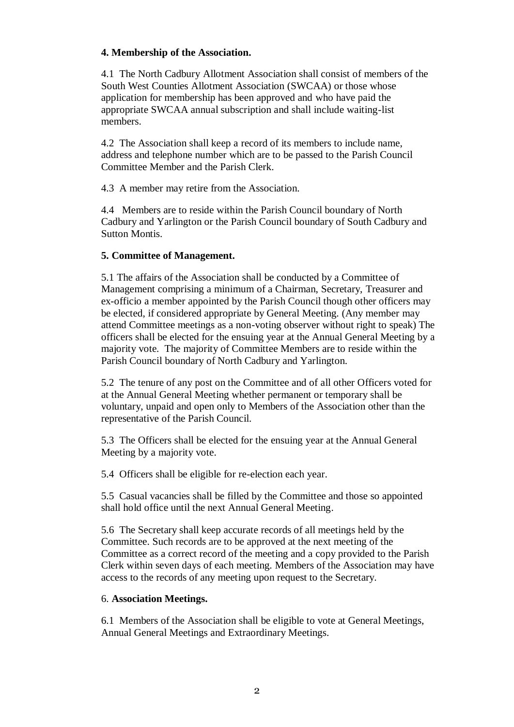## **4. Membership of the Association.**

4.1 The North Cadbury Allotment Association shall consist of members of the South West Counties Allotment Association (SWCAA) or those whose application for membership has been approved and who have paid the appropriate SWCAA annual subscription and shall include waiting-list members.

4.2 The Association shall keep a record of its members to include name, address and telephone number which are to be passed to the Parish Council Committee Member and the Parish Clerk.

4.3 A member may retire from the Association.

4.4 Members are to reside within the Parish Council boundary of North Cadbury and Yarlington or the Parish Council boundary of South Cadbury and Sutton Montis.

## **5. Committee of Management.**

5.1 The affairs of the Association shall be conducted by a Committee of Management comprising a minimum of a Chairman, Secretary, Treasurer and ex-officio a member appointed by the Parish Council though other officers may be elected, if considered appropriate by General Meeting. (Any member may attend Committee meetings as a non-voting observer without right to speak) The officers shall be elected for the ensuing year at the Annual General Meeting by a majority vote. The majority of Committee Members are to reside within the Parish Council boundary of North Cadbury and Yarlington.

5.2 The tenure of any post on the Committee and of all other Officers voted for at the Annual General Meeting whether permanent or temporary shall be voluntary, unpaid and open only to Members of the Association other than the representative of the Parish Council.

5.3 The Officers shall be elected for the ensuing year at the Annual General Meeting by a majority vote.

5.4 Officers shall be eligible for re-election each year.

5.5 Casual vacancies shall be filled by the Committee and those so appointed shall hold office until the next Annual General Meeting.

5.6 The Secretary shall keep accurate records of all meetings held by the Committee. Such records are to be approved at the next meeting of the Committee as a correct record of the meeting and a copy provided to the Parish Clerk within seven days of each meeting. Members of the Association may have access to the records of any meeting upon request to the Secretary.

### 6. **Association Meetings.**

6.1 Members of the Association shall be eligible to vote at General Meetings, Annual General Meetings and Extraordinary Meetings.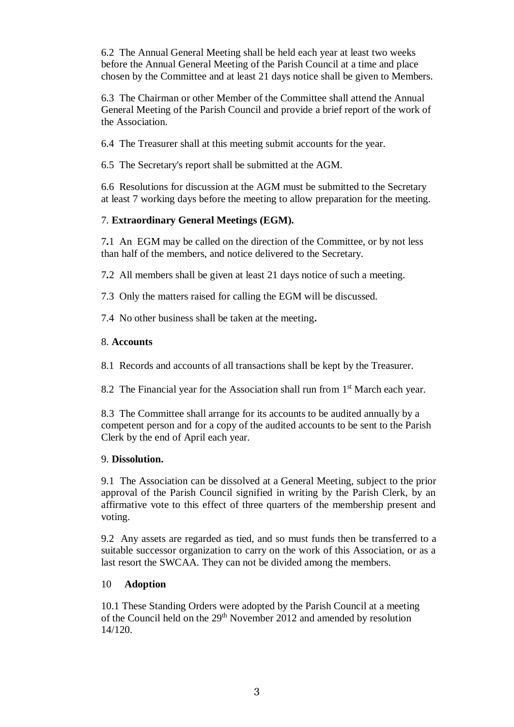6.2 The Annual General Meeting shall be held each year at least two weeks before the Annual General Meeting of the Parish Council at a time and place chosen by the Committee and at least 21 days notice shall be given to Members.

6.3 The Chairman or other Member of the Committee shall attend the Annual General Meeting of the Parish Council and provide a brief report of the work of the Association.

6.4 The Treasurer shall at this meeting submit accounts for the year.

6.5 The Secretary's report shall be submitted at the AGM.

6.6 Resolutions for discussion at the AGM must be submitted to the Secretary at least 7 working days before the meeting to allow preparation for the meeting.

# 7. **Extraordinary General Meetings (EGM).**

7**.**1 An EGM may be called on the direction of the Committee, or by not less than half of the members, and notice delivered to the Secretary.

7**.**2 All members shall be given at least 21 days notice of such a meeting.

7.3 Only the matters raised for calling the EGM will be discussed.

7.4 No other business shall be taken at the meeting**.**

## 8. **Accounts**

8.1 Records and accounts of all transactions shall be kept by the Treasurer.

8.2 The Financial year for the Association shall run from 1<sup>st</sup> March each year.

8.3 The Committee shall arrange for its accounts to be audited annually by a competent person and for a copy of the audited accounts to be sent to the Parish Clerk by the end of April each year.

### 9. **Dissolution.**

9.1 The Association can be dissolved at a General Meeting, subject to the prior approval of the Parish Council signified in writing by the Parish Clerk, by an affirmative vote to this effect of three quarters of the membership present and voting.

9.2 Any assets are regarded as tied, and so must funds then be transferred to a suitable successor organization to carry on the work of this Association, or as a last resort the SWCAA. They can not be divided among the members.

## 10 **Adoption**

10.1 These Standing Orders were adopted by the Parish Council at a meeting of the Council held on the 29<sup>th</sup> November 2012 and amended by resolution 14/120.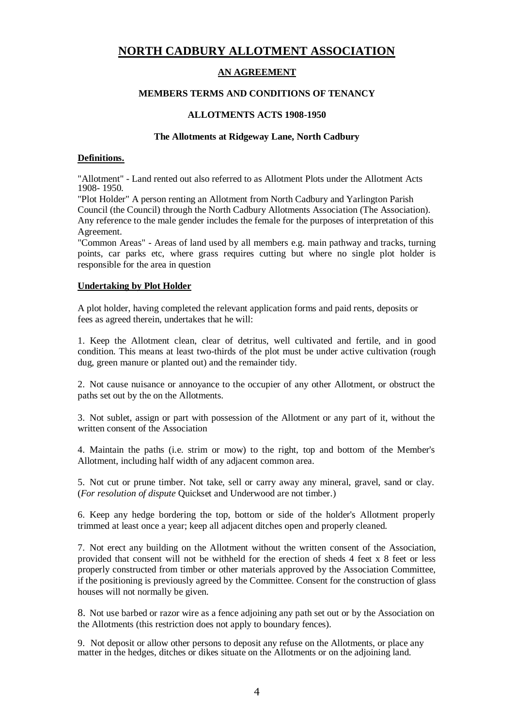# **NORTH CADBURY ALLOTMENT ASSOCIATION**

### **AN AGREEMENT**

#### **MEMBERS TERMS AND CONDITIONS OF TENANCY**

#### **ALLOTMENTS ACTS 1908-1950**

#### **The Allotments at Ridgeway Lane, North Cadbury**

#### **Definitions.**

"Allotment" - Land rented out also referred to as Allotment Plots under the Allotment Acts 1908- 1950.

"Plot Holder" A person renting an Allotment from North Cadbury and Yarlington Parish Council (the Council) through the North Cadbury Allotments Association (The Association). Any reference to the male gender includes the female for the purposes of interpretation of this Agreement.

"Common Areas" - Areas of land used by all members e.g. main pathway and tracks, turning points, car parks etc, where grass requires cutting but where no single plot holder is responsible for the area in question

#### **Undertaking by Plot Holder**

A plot holder, having completed the relevant application forms and paid rents, deposits or fees as agreed therein, undertakes that he will:

1. Keep the Allotment clean, clear of detritus, well cultivated and fertile, and in good condition. This means at least two-thirds of the plot must be under active cultivation (rough dug, green manure or planted out) and the remainder tidy.

2. Not cause nuisance or annoyance to the occupier of any other Allotment, or obstruct the paths set out by the on the Allotments.

3. Not sublet, assign or part with possession of the Allotment or any part of it, without the written consent of the Association

4. Maintain the paths (i.e. strim or mow) to the right, top and bottom of the Member's Allotment, including half width of any adjacent common area.

5. Not cut or prune timber. Not take, sell or carry away any mineral, gravel, sand or clay. (*For resolution of dispute* Quickset and Underwood are not timber.)

6. Keep any hedge bordering the top, bottom or side of the holder's Allotment properly trimmed at least once a year; keep all adjacent ditches open and properly cleaned.

7. Not erect any building on the Allotment without the written consent of the Association, provided that consent will not be withheld for the erection of sheds 4 feet x 8 feet or less properly constructed from timber or other materials approved by the Association Committee, if the positioning is previously agreed by the Committee. Consent for the construction of glass houses will not normally be given.

8. Not use barbed or razor wire as a fence adjoining any path set out or by the Association on the Allotments (this restriction does not apply to boundary fences).

9. Not deposit or allow other persons to deposit any refuse on the Allotments, or place any matter in the hedges, ditches or dikes situate on the Allotments or on the adjoining land.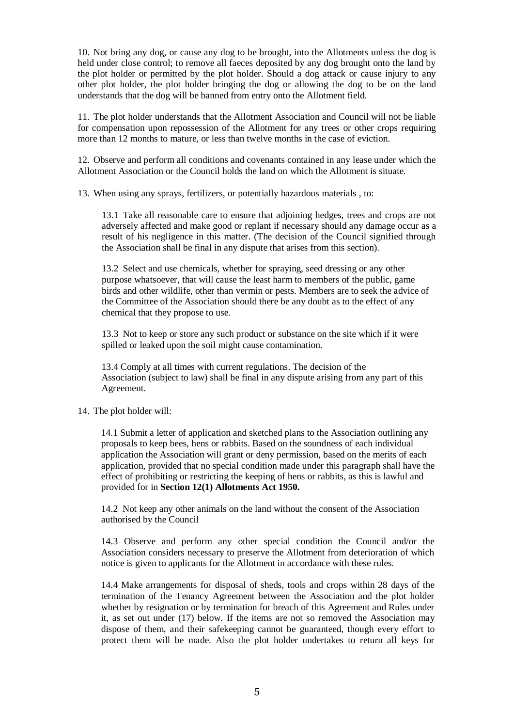10. Not bring any dog, or cause any dog to be brought, into the Allotments unless the dog is held under close control; to remove all faeces deposited by any dog brought onto the land by the plot holder or permitted by the plot holder. Should a dog attack or cause injury to any other plot holder, the plot holder bringing the dog or allowing the dog to be on the land understands that the dog will be banned from entry onto the Allotment field.

11. The plot holder understands that the Allotment Association and Council will not be liable for compensation upon repossession of the Allotment for any trees or other crops requiring more than 12 months to mature, or less than twelve months in the case of eviction.

12. Observe and perform all conditions and covenants contained in any lease under which the Allotment Association or the Council holds the land on which the Allotment is situate.

13. When using any sprays, fertilizers, or potentially hazardous materials , to:

13.1 Take all reasonable care to ensure that adjoining hedges, trees and crops are not adversely affected and make good or replant if necessary should any damage occur as a result of his negligence in this matter. (The decision of the Council signified through the Association shall be final in any dispute that arises from this section).

13.2 Select and use chemicals, whether for spraying, seed dressing or any other purpose whatsoever, that will cause the least harm to members of the public, game birds and other wildlife, other than vermin or pests. Members are to seek the advice of the Committee of the Association should there be any doubt as to the effect of any chemical that they propose to use.

13.3 Not to keep or store any such product or substance on the site which if it were spilled or leaked upon the soil might cause contamination.

 13.4 Comply at all times with current regulations. The decision of the Association (subject to law) shall be final in any dispute arising from any part of this Agreement.

#### 14. The plot holder will:

14.1 Submit a letter of application and sketched plans to the Association outlining any proposals to keep bees, hens or rabbits. Based on the soundness of each individual application the Association will grant or deny permission, based on the merits of each application, provided that no special condition made under this paragraph shall have the effect of prohibiting or restricting the keeping of hens or rabbits, as this is lawful and provided for in **Section 12(1) Allotments Act 1950.**

14.2 Not keep any other animals on the land without the consent of the Association authorised by the Council

14.3 Observe and perform any other special condition the Council and/or the Association considers necessary to preserve the Allotment from deterioration of which notice is given to applicants for the Allotment in accordance with these rules.

14.4 Make arrangements for disposal of sheds, tools and crops within 28 days of the termination of the Tenancy Agreement between the Association and the plot holder whether by resignation or by termination for breach of this Agreement and Rules under it, as set out under (17) below. If the items are not so removed the Association may dispose of them, and their safekeeping cannot be guaranteed, though every effort to protect them will be made. Also the plot holder undertakes to return all keys for